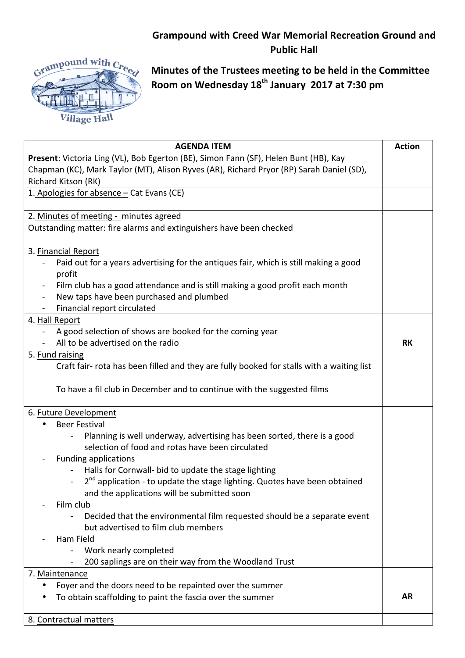## **Grampound with Creed War Memorial Recreation Ground and Public Hall**



**Minutes of the Trustees meeting to be held in the Committee** Room on Wednesday 18<sup>th</sup> January 2017 at 7:30 pm

| <b>AGENDA ITEM</b>                                                                             | <b>Action</b> |
|------------------------------------------------------------------------------------------------|---------------|
| Present: Victoria Ling (VL), Bob Egerton (BE), Simon Fann (SF), Helen Bunt (HB), Kay           |               |
| Chapman (KC), Mark Taylor (MT), Alison Ryves (AR), Richard Pryor (RP) Sarah Daniel (SD),       |               |
| Richard Kitson (RK)                                                                            |               |
| 1. Apologies for absence - Cat Evans (CE)                                                      |               |
|                                                                                                |               |
| 2. Minutes of meeting - minutes agreed                                                         |               |
| Outstanding matter: fire alarms and extinguishers have been checked                            |               |
|                                                                                                |               |
| 3. Financial Report                                                                            |               |
| Paid out for a years advertising for the antiques fair, which is still making a good           |               |
| profit                                                                                         |               |
| Film club has a good attendance and is still making a good profit each month<br>$\blacksquare$ |               |
| New taps have been purchased and plumbed                                                       |               |
| Financial report circulated                                                                    |               |
| 4. Hall Report                                                                                 |               |
| A good selection of shows are booked for the coming year                                       |               |
| All to be advertised on the radio                                                              | <b>RK</b>     |
| 5. Fund raising                                                                                |               |
| Craft fair- rota has been filled and they are fully booked for stalls with a waiting list      |               |
|                                                                                                |               |
| To have a fil club in December and to continue with the suggested films                        |               |
|                                                                                                |               |
| 6. Future Development                                                                          |               |
| <b>Beer Festival</b>                                                                           |               |
| Planning is well underway, advertising has been sorted, there is a good                        |               |
| selection of food and rotas have been circulated                                               |               |
| <b>Funding applications</b>                                                                    |               |
| Halls for Cornwall- bid to update the stage lighting                                           |               |
| 2 <sup>nd</sup> application - to update the stage lighting. Quotes have been obtained          |               |
| and the applications will be submitted soon                                                    |               |
| Film club                                                                                      |               |
| Decided that the environmental film requested should be a separate event                       |               |
| but advertised to film club members                                                            |               |
| Ham Field                                                                                      |               |
| Work nearly completed                                                                          |               |
| 200 saplings are on their way from the Woodland Trust                                          |               |
| 7. Maintenance                                                                                 |               |
| Foyer and the doors need to be repainted over the summer                                       |               |
| To obtain scaffolding to paint the fascia over the summer                                      | AR            |
|                                                                                                |               |
| 8. Contractual matters                                                                         |               |